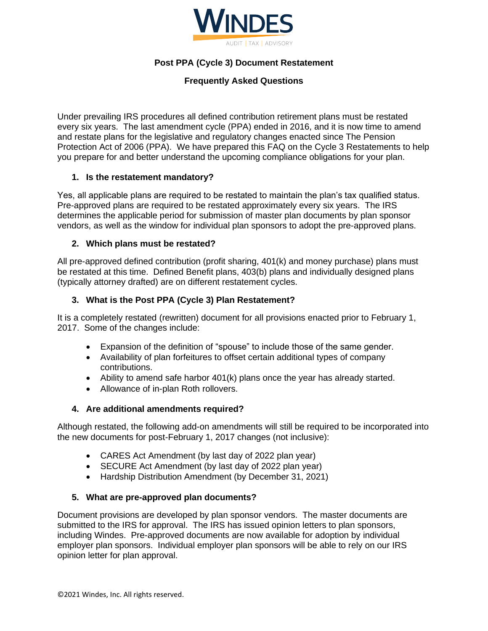

# **Post PPA (Cycle 3) Document Restatement**

# **Frequently Asked Questions**

Under prevailing IRS procedures all defined contribution retirement plans must be restated every six years. The last amendment cycle (PPA) ended in 2016, and it is now time to amend and restate plans for the legislative and regulatory changes enacted since The Pension Protection Act of 2006 (PPA). We have prepared this FAQ on the Cycle 3 Restatements to help you prepare for and better understand the upcoming compliance obligations for your plan.

## **1. Is the restatement mandatory?**

Yes, all applicable plans are required to be restated to maintain the plan's tax qualified status. Pre-approved plans are required to be restated approximately every six years. The IRS determines the applicable period for submission of master plan documents by plan sponsor vendors, as well as the window for individual plan sponsors to adopt the pre-approved plans.

## **2. Which plans must be restated?**

All pre-approved defined contribution (profit sharing, 401(k) and money purchase) plans must be restated at this time. Defined Benefit plans, 403(b) plans and individually designed plans (typically attorney drafted) are on different restatement cycles.

## **3. What is the Post PPA (Cycle 3) Plan Restatement?**

It is a completely restated (rewritten) document for all provisions enacted prior to February 1, 2017. Some of the changes include:

- Expansion of the definition of "spouse" to include those of the same gender.
- Availability of plan forfeitures to offset certain additional types of company contributions.
- Ability to amend safe harbor 401(k) plans once the year has already started.
- Allowance of in-plan Roth rollovers.

#### **4. Are additional amendments required?**

Although restated, the following add-on amendments will still be required to be incorporated into the new documents for post-February 1, 2017 changes (not inclusive):

- CARES Act Amendment (by last day of 2022 plan year)
- SECURE Act Amendment (by last day of 2022 plan year)
- Hardship Distribution Amendment (by December 31, 2021)

#### **5. What are pre-approved plan documents?**

Document provisions are developed by plan sponsor vendors. The master documents are submitted to the IRS for approval. The IRS has issued opinion letters to plan sponsors, including Windes. Pre-approved documents are now available for adoption by individual employer plan sponsors. Individual employer plan sponsors will be able to rely on our IRS opinion letter for plan approval.